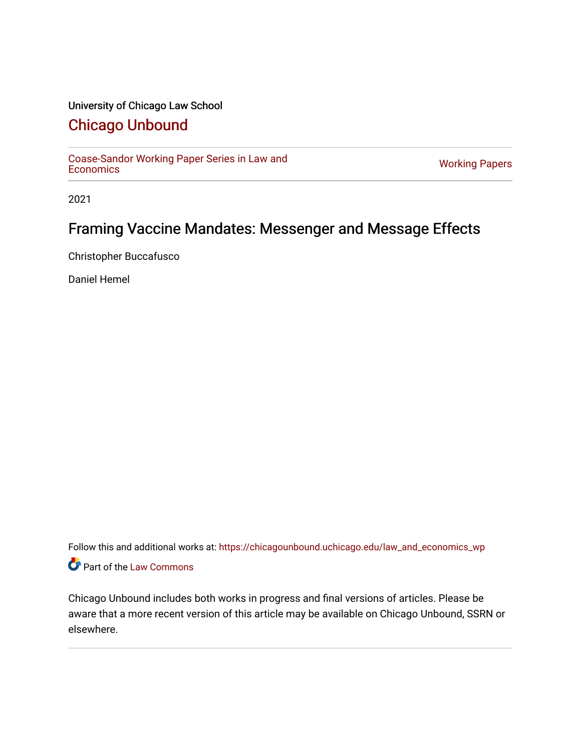# University of Chicago Law School

# [Chicago Unbound](https://chicagounbound.uchicago.edu/)

[Coase-Sandor Working Paper Series in Law and](https://chicagounbound.uchicago.edu/law_and_economics_wp) [Economics](https://chicagounbound.uchicago.edu/law_and_economics_wp) [Working Papers](https://chicagounbound.uchicago.edu/working_papers) 

2021

# Framing Vaccine Mandates: Messenger and Message Effects

Christopher Buccafusco

Daniel Hemel

Follow this and additional works at: [https://chicagounbound.uchicago.edu/law\\_and\\_economics\\_wp](https://chicagounbound.uchicago.edu/law_and_economics_wp?utm_source=chicagounbound.uchicago.edu%2Flaw_and_economics_wp%2F10&utm_medium=PDF&utm_campaign=PDFCoverPages)  Part of the [Law Commons](http://network.bepress.com/hgg/discipline/578?utm_source=chicagounbound.uchicago.edu%2Flaw_and_economics_wp%2F10&utm_medium=PDF&utm_campaign=PDFCoverPages)

Chicago Unbound includes both works in progress and final versions of articles. Please be aware that a more recent version of this article may be available on Chicago Unbound, SSRN or elsewhere.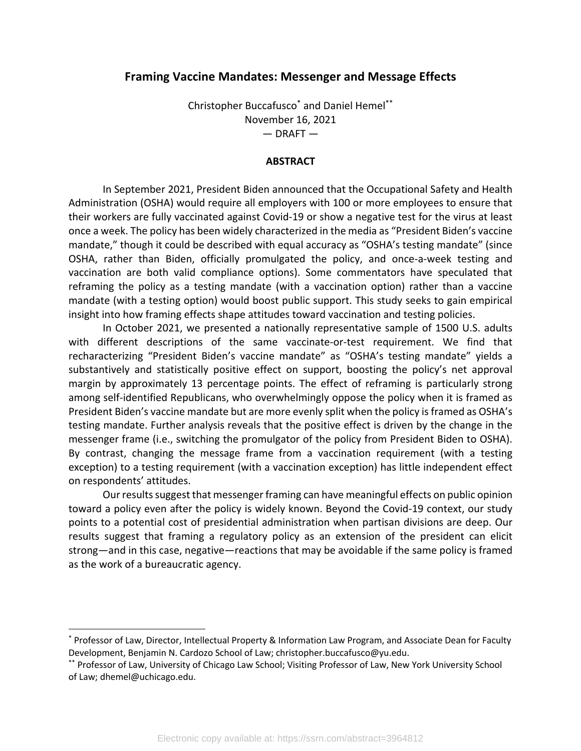# **Framing Vaccine Mandates: Messenger and Message Effects**

Christopher Buccafusco\* and Daniel Hemel\*\* November 16, 2021  $-$  DRAFT  $-$ 

#### **ABSTRACT**

In September 2021, President Biden announced that the Occupational Safety and Health Administration (OSHA) would require all employers with 100 or more employees to ensure that their workers are fully vaccinated against Covid-19 or show a negative test for the virus at least once a week. The policy has been widely characterized in the media as "President Biden's vaccine mandate," though it could be described with equal accuracy as "OSHA's testing mandate" (since OSHA, rather than Biden, officially promulgated the policy, and once-a-week testing and vaccination are both valid compliance options). Some commentators have speculated that reframing the policy as a testing mandate (with a vaccination option) rather than a vaccine mandate (with a testing option) would boost public support. This study seeks to gain empirical insight into how framing effects shape attitudes toward vaccination and testing policies.

In October 2021, we presented a nationally representative sample of 1500 U.S. adults with different descriptions of the same vaccinate-or-test requirement. We find that recharacterizing "President Biden's vaccine mandate" as "OSHA's testing mandate" yields a substantively and statistically positive effect on support, boosting the policy's net approval margin by approximately 13 percentage points. The effect of reframing is particularly strong among self-identified Republicans, who overwhelmingly oppose the policy when it is framed as President Biden's vaccine mandate but are more evenly split when the policy is framed as OSHA's testing mandate. Further analysis reveals that the positive effect is driven by the change in the messenger frame (i.e., switching the promulgator of the policy from President Biden to OSHA). By contrast, changing the message frame from a vaccination requirement (with a testing exception) to a testing requirement (with a vaccination exception) has little independent effect on respondents' attitudes.

Our results suggest that messenger framing can have meaningful effects on public opinion toward a policy even after the policy is widely known. Beyond the Covid-19 context, our study points to a potential cost of presidential administration when partisan divisions are deep. Our results suggest that framing a regulatory policy as an extension of the president can elicit strong—and in this case, negative—reactions that may be avoidable if the same policy is framed as the work of a bureaucratic agency.

<sup>\*</sup> Professor of Law, Director, Intellectual Property & Information Law Program, and Associate Dean for Faculty Development, Benjamin N. Cardozo School of Law; christopher.buccafusco@yu.edu.

<sup>\*\*</sup> Professor of Law, University of Chicago Law School; Visiting Professor of Law, New York University School of Law; dhemel@uchicago.edu.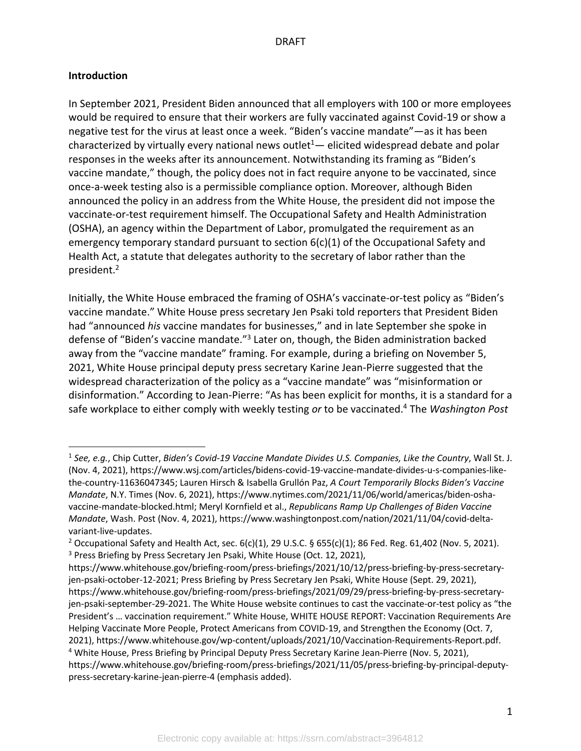# **Introduction**

In September 2021, President Biden announced that all employers with 100 or more employees would be required to ensure that their workers are fully vaccinated against Covid-19 or show a negative test for the virus at least once a week. "Biden's vaccine mandate"—as it has been characterized by virtually every national news outlet $1-$  elicited widespread debate and polar responses in the weeks after its announcement. Notwithstanding its framing as "Biden's vaccine mandate," though, the policy does not in fact require anyone to be vaccinated, since once-a-week testing also is a permissible compliance option. Moreover, although Biden announced the policy in an address from the White House, the president did not impose the vaccinate-or-test requirement himself. The Occupational Safety and Health Administration (OSHA), an agency within the Department of Labor, promulgated the requirement as an emergency temporary standard pursuant to section 6(c)(1) of the Occupational Safety and Health Act, a statute that delegates authority to the secretary of labor rather than the president. 2

Initially, the White House embraced the framing of OSHA's vaccinate-or-test policy as "Biden's vaccine mandate." White House press secretary Jen Psaki told reporters that President Biden had "announced *his* vaccine mandates for businesses," and in late September she spoke in defense of "Biden's vaccine mandate."<sup>3</sup> Later on, though, the Biden administration backed away from the "vaccine mandate" framing. For example, during a briefing on November 5, 2021, White House principal deputy press secretary Karine Jean-Pierre suggested that the widespread characterization of the policy as a "vaccine mandate" was "misinformation or disinformation." According to Jean-Pierre: "As has been explicit for months, it is a standard for a safe workplace to either comply with weekly testing *or* to be vaccinated.4 The *Washington Post*

<sup>1</sup> *See, e.g.*, Chip Cutter, *Biden's Covid-19 Vaccine Mandate Divides U.S. Companies, Like the Country*, Wall St. J. (Nov. 4, 2021), https://www.wsj.com/articles/bidens-covid-19-vaccine-mandate-divides-u-s-companies-likethe-country-11636047345; Lauren Hirsch & Isabella Grullón Paz, *A Court Temporarily Blocks Biden's Vaccine Mandate*, N.Y. Times (Nov. 6, 2021), https://www.nytimes.com/2021/11/06/world/americas/biden-oshavaccine-mandate-blocked.html; Meryl Kornfield et al., *Republicans Ramp Up Challenges of Biden Vaccine Mandate*, Wash. Post (Nov. 4, 2021), https://www.washingtonpost.com/nation/2021/11/04/covid-deltavariant-live-updates.

<sup>&</sup>lt;sup>2</sup> Occupational Safety and Health Act, sec.  $6(c)(1)$ , 29 U.S.C. § 655(c)(1); 86 Fed. Reg. 61,402 (Nov. 5, 2021). <sup>3</sup> Press Briefing by Press Secretary Jen Psaki, White House (Oct. 12, 2021),

https://www.whitehouse.gov/briefing-room/press-briefings/2021/10/12/press-briefing-by-press-secretaryjen-psaki-october-12-2021; Press Briefing by Press Secretary Jen Psaki, White House (Sept. 29, 2021), https://www.whitehouse.gov/briefing-room/press-briefings/2021/09/29/press-briefing-by-press-secretaryjen-psaki-september-29-2021. The White House website continues to cast the vaccinate-or-test policy as "the President's … vaccination requirement." White House, WHITE HOUSE REPORT: Vaccination Requirements Are Helping Vaccinate More People, Protect Americans from COVID-19, and Strengthen the Economy (Oct. 7, 2021), https://www.whitehouse.gov/wp-content/uploads/2021/10/Vaccination-Requirements-Report.pdf. <sup>4</sup> White House, Press Briefing by Principal Deputy Press Secretary Karine Jean-Pierre (Nov. 5, 2021), https://www.whitehouse.gov/briefing-room/press-briefings/2021/11/05/press-briefing-by-principal-deputypress-secretary-karine-jean-pierre-4 (emphasis added).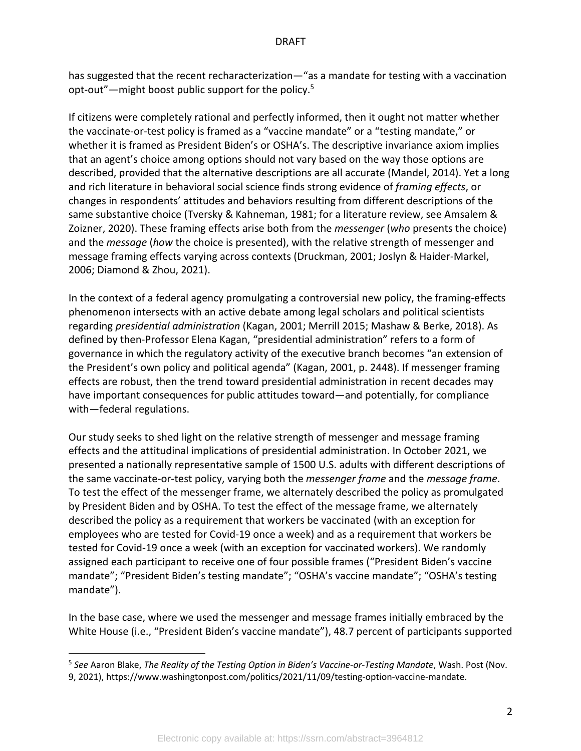has suggested that the recent recharacterization—"as a mandate for testing with a vaccination opt-out"—might boost public support for the policy.5

If citizens were completely rational and perfectly informed, then it ought not matter whether the vaccinate-or-test policy is framed as a "vaccine mandate" or a "testing mandate," or whether it is framed as President Biden's or OSHA's. The descriptive invariance axiom implies that an agent's choice among options should not vary based on the way those options are described, provided that the alternative descriptions are all accurate (Mandel, 2014). Yet a long and rich literature in behavioral social science finds strong evidence of *framing effects*, or changes in respondents' attitudes and behaviors resulting from different descriptions of the same substantive choice (Tversky & Kahneman, 1981; for a literature review, see Amsalem & Zoizner, 2020). These framing effects arise both from the *messenger* (*who* presents the choice) and the *message* (*how* the choice is presented), with the relative strength of messenger and message framing effects varying across contexts (Druckman, 2001; Joslyn & Haider-Markel, 2006; Diamond & Zhou, 2021).

In the context of a federal agency promulgating a controversial new policy, the framing-effects phenomenon intersects with an active debate among legal scholars and political scientists regarding *presidential administration* (Kagan, 2001; Merrill 2015; Mashaw & Berke, 2018). As defined by then-Professor Elena Kagan, "presidential administration" refers to a form of governance in which the regulatory activity of the executive branch becomes "an extension of the President's own policy and political agenda" (Kagan, 2001, p. 2448). If messenger framing effects are robust, then the trend toward presidential administration in recent decades may have important consequences for public attitudes toward—and potentially, for compliance with—federal regulations.

Our study seeks to shed light on the relative strength of messenger and message framing effects and the attitudinal implications of presidential administration. In October 2021, we presented a nationally representative sample of 1500 U.S. adults with different descriptions of the same vaccinate-or-test policy, varying both the *messenger frame* and the *message frame*. To test the effect of the messenger frame, we alternately described the policy as promulgated by President Biden and by OSHA. To test the effect of the message frame, we alternately described the policy as a requirement that workers be vaccinated (with an exception for employees who are tested for Covid-19 once a week) and as a requirement that workers be tested for Covid-19 once a week (with an exception for vaccinated workers). We randomly assigned each participant to receive one of four possible frames ("President Biden's vaccine mandate"; "President Biden's testing mandate"; "OSHA's vaccine mandate"; "OSHA's testing mandate").

In the base case, where we used the messenger and message frames initially embraced by the White House (i.e., "President Biden's vaccine mandate"), 48.7 percent of participants supported

<sup>5</sup> *See* Aaron Blake, *The Reality of the Testing Option in Biden's Vaccine-or-Testing Mandate*, Wash. Post (Nov. 9, 2021), https://www.washingtonpost.com/politics/2021/11/09/testing-option-vaccine-mandate.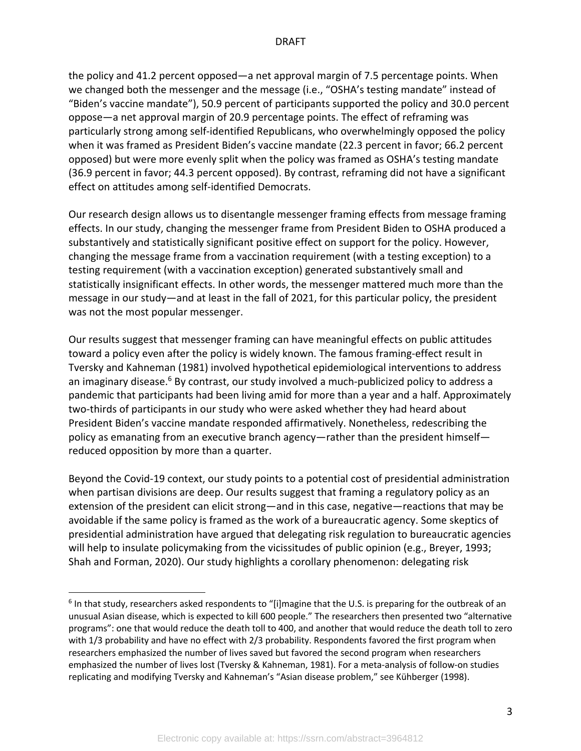the policy and 41.2 percent opposed—a net approval margin of 7.5 percentage points. When we changed both the messenger and the message (i.e., "OSHA's testing mandate" instead of "Biden's vaccine mandate"), 50.9 percent of participants supported the policy and 30.0 percent oppose—a net approval margin of 20.9 percentage points. The effect of reframing was particularly strong among self-identified Republicans, who overwhelmingly opposed the policy when it was framed as President Biden's vaccine mandate (22.3 percent in favor; 66.2 percent opposed) but were more evenly split when the policy was framed as OSHA's testing mandate (36.9 percent in favor; 44.3 percent opposed). By contrast, reframing did not have a significant effect on attitudes among self-identified Democrats.

Our research design allows us to disentangle messenger framing effects from message framing effects. In our study, changing the messenger frame from President Biden to OSHA produced a substantively and statistically significant positive effect on support for the policy. However, changing the message frame from a vaccination requirement (with a testing exception) to a testing requirement (with a vaccination exception) generated substantively small and statistically insignificant effects. In other words, the messenger mattered much more than the message in our study—and at least in the fall of 2021, for this particular policy, the president was not the most popular messenger.

Our results suggest that messenger framing can have meaningful effects on public attitudes toward a policy even after the policy is widely known. The famous framing-effect result in Tversky and Kahneman (1981) involved hypothetical epidemiological interventions to address an imaginary disease.<sup>6</sup> By contrast, our study involved a much-publicized policy to address a pandemic that participants had been living amid for more than a year and a half. Approximately two-thirds of participants in our study who were asked whether they had heard about President Biden's vaccine mandate responded affirmatively. Nonetheless, redescribing the policy as emanating from an executive branch agency—rather than the president himself reduced opposition by more than a quarter.

Beyond the Covid-19 context, our study points to a potential cost of presidential administration when partisan divisions are deep. Our results suggest that framing a regulatory policy as an extension of the president can elicit strong—and in this case, negative—reactions that may be avoidable if the same policy is framed as the work of a bureaucratic agency. Some skeptics of presidential administration have argued that delegating risk regulation to bureaucratic agencies will help to insulate policymaking from the vicissitudes of public opinion (e.g., Breyer, 1993; Shah and Forman, 2020). Our study highlights a corollary phenomenon: delegating risk

<sup>6</sup> In that study, researchers asked respondents to "[i]magine that the U.S. is preparing for the outbreak of an unusual Asian disease, which is expected to kill 600 people." The researchers then presented two "alternative programs": one that would reduce the death toll to 400, and another that would reduce the death toll to zero with 1/3 probability and have no effect with 2/3 probability. Respondents favored the first program when researchers emphasized the number of lives saved but favored the second program when researchers emphasized the number of lives lost (Tversky & Kahneman, 1981). For a meta-analysis of follow-on studies replicating and modifying Tversky and Kahneman's "Asian disease problem," see Kühberger (1998).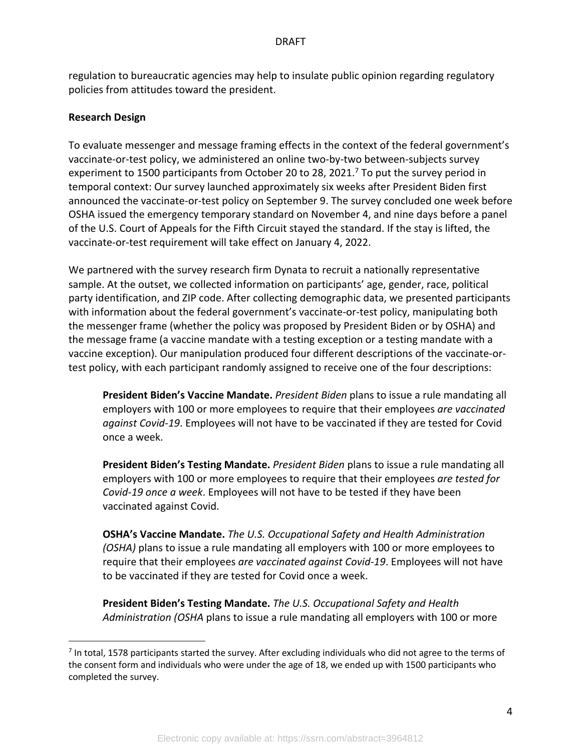regulation to bureaucratic agencies may help to insulate public opinion regarding regulatory policies from attitudes toward the president.

#### **Research Design**

To evaluate messenger and message framing effects in the context of the federal government's vaccinate-or-test policy, we administered an online two-by-two between-subjects survey experiment to 1500 participants from October 20 to 28, 2021.<sup>7</sup> To put the survey period in temporal context: Our survey launched approximately six weeks after President Biden first announced the vaccinate-or-test policy on September 9. The survey concluded one week before OSHA issued the emergency temporary standard on November 4, and nine days before a panel of the U.S. Court of Appeals for the Fifth Circuit stayed the standard. If the stay is lifted, the vaccinate-or-test requirement will take effect on January 4, 2022.

We partnered with the survey research firm Dynata to recruit a nationally representative sample. At the outset, we collected information on participants' age, gender, race, political party identification, and ZIP code. After collecting demographic data, we presented participants with information about the federal government's vaccinate-or-test policy, manipulating both the messenger frame (whether the policy was proposed by President Biden or by OSHA) and the message frame (a vaccine mandate with a testing exception or a testing mandate with a vaccine exception). Our manipulation produced four different descriptions of the vaccinate-ortest policy, with each participant randomly assigned to receive one of the four descriptions:

**President Biden's Vaccine Mandate.** *President Biden* plans to issue a rule mandating all employers with 100 or more employees to require that their employees *are vaccinated against Covid-19*. Employees will not have to be vaccinated if they are tested for Covid once a week.

**President Biden's Testing Mandate.** *President Biden* plans to issue a rule mandating all employers with 100 or more employees to require that their employees *are tested for Covid-19 once a week*. Employees will not have to be tested if they have been vaccinated against Covid.

**OSHA's Vaccine Mandate.** *The U.S. Occupational Safety and Health Administration (OSHA)* plans to issue a rule mandating all employers with 100 or more employees to require that their employees *are vaccinated against Covid-19*. Employees will not have to be vaccinated if they are tested for Covid once a week.

**President Biden's Testing Mandate.** *The U.S. Occupational Safety and Health Administration (OSHA* plans to issue a rule mandating all employers with 100 or more

 $<sup>7</sup>$  In total, 1578 participants started the survey. After excluding individuals who did not agree to the terms of</sup> the consent form and individuals who were under the age of 18, we ended up with 1500 participants who completed the survey.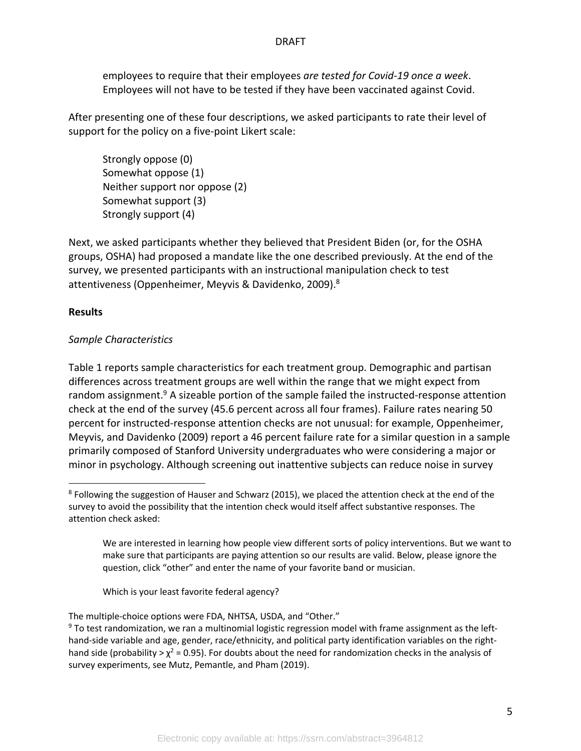employees to require that their employees *are tested for Covid-19 once a week*. Employees will not have to be tested if they have been vaccinated against Covid.

After presenting one of these four descriptions, we asked participants to rate their level of support for the policy on a five-point Likert scale:

Strongly oppose (0) Somewhat oppose (1) Neither support nor oppose (2) Somewhat support (3) Strongly support (4)

Next, we asked participants whether they believed that President Biden (or, for the OSHA groups, OSHA) had proposed a mandate like the one described previously. At the end of the survey, we presented participants with an instructional manipulation check to test attentiveness (Oppenheimer, Meyvis & Davidenko, 2009).<sup>8</sup>

## **Results**

## *Sample Characteristics*

Table 1 reports sample characteristics for each treatment group. Demographic and partisan differences across treatment groups are well within the range that we might expect from random assignment.<sup>9</sup> A sizeable portion of the sample failed the instructed-response attention check at the end of the survey (45.6 percent across all four frames). Failure rates nearing 50 percent for instructed-response attention checks are not unusual: for example, Oppenheimer, Meyvis, and Davidenko (2009) report a 46 percent failure rate for a similar question in a sample primarily composed of Stanford University undergraduates who were considering a major or minor in psychology. Although screening out inattentive subjects can reduce noise in survey

We are interested in learning how people view different sorts of policy interventions. But we want to make sure that participants are paying attention so our results are valid. Below, please ignore the question, click "other" and enter the name of your favorite band or musician.

Which is your least favorite federal agency?

The multiple-choice options were FDA, NHTSA, USDA, and "Other."

 $9$  To test randomization, we ran a multinomial logistic regression model with frame assignment as the lefthand-side variable and age, gender, race/ethnicity, and political party identification variables on the righthand side (probability >  $\chi^2$  = 0.95). For doubts about the need for randomization checks in the analysis of survey experiments, see Mutz, Pemantle, and Pham (2019).

<sup>8</sup> Following the suggestion of Hauser and Schwarz (2015), we placed the attention check at the end of the survey to avoid the possibility that the intention check would itself affect substantive responses. The attention check asked: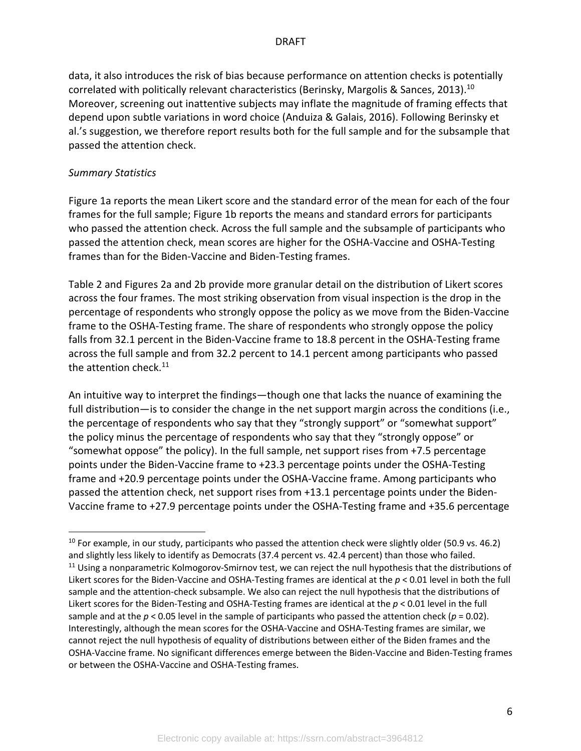data, it also introduces the risk of bias because performance on attention checks is potentially correlated with politically relevant characteristics (Berinsky, Margolis & Sances, 2013).<sup>10</sup> Moreover, screening out inattentive subjects may inflate the magnitude of framing effects that depend upon subtle variations in word choice (Anduiza & Galais, 2016). Following Berinsky et al.'s suggestion, we therefore report results both for the full sample and for the subsample that passed the attention check.

# *Summary Statistics*

Figure 1a reports the mean Likert score and the standard error of the mean for each of the four frames for the full sample; Figure 1b reports the means and standard errors for participants who passed the attention check. Across the full sample and the subsample of participants who passed the attention check, mean scores are higher for the OSHA-Vaccine and OSHA-Testing frames than for the Biden-Vaccine and Biden-Testing frames.

Table 2 and Figures 2a and 2b provide more granular detail on the distribution of Likert scores across the four frames. The most striking observation from visual inspection is the drop in the percentage of respondents who strongly oppose the policy as we move from the Biden-Vaccine frame to the OSHA-Testing frame. The share of respondents who strongly oppose the policy falls from 32.1 percent in the Biden-Vaccine frame to 18.8 percent in the OSHA-Testing frame across the full sample and from 32.2 percent to 14.1 percent among participants who passed the attention check. $^{11}$ 

An intuitive way to interpret the findings—though one that lacks the nuance of examining the full distribution—is to consider the change in the net support margin across the conditions (i.e., the percentage of respondents who say that they "strongly support" or "somewhat support" the policy minus the percentage of respondents who say that they "strongly oppose" or "somewhat oppose" the policy). In the full sample, net support rises from +7.5 percentage points under the Biden-Vaccine frame to +23.3 percentage points under the OSHA-Testing frame and +20.9 percentage points under the OSHA-Vaccine frame. Among participants who passed the attention check, net support rises from +13.1 percentage points under the Biden-Vaccine frame to +27.9 percentage points under the OSHA-Testing frame and +35.6 percentage

 $10$  For example, in our study, participants who passed the attention check were slightly older (50.9 vs. 46.2) and slightly less likely to identify as Democrats (37.4 percent vs. 42.4 percent) than those who failed.  $11$  Using a nonparametric Kolmogorov-Smirnov test, we can reject the null hypothesis that the distributions of Likert scores for the Biden-Vaccine and OSHA-Testing frames are identical at the *p* < 0.01 level in both the full sample and the attention-check subsample. We also can reject the null hypothesis that the distributions of Likert scores for the Biden-Testing and OSHA-Testing frames are identical at the *p* < 0.01 level in the full sample and at the  $p < 0.05$  level in the sample of participants who passed the attention check ( $p = 0.02$ ). Interestingly, although the mean scores for the OSHA-Vaccine and OSHA-Testing frames are similar, we cannot reject the null hypothesis of equality of distributions between either of the Biden frames and the OSHA-Vaccine frame. No significant differences emerge between the Biden-Vaccine and Biden-Testing frames or between the OSHA-Vaccine and OSHA-Testing frames.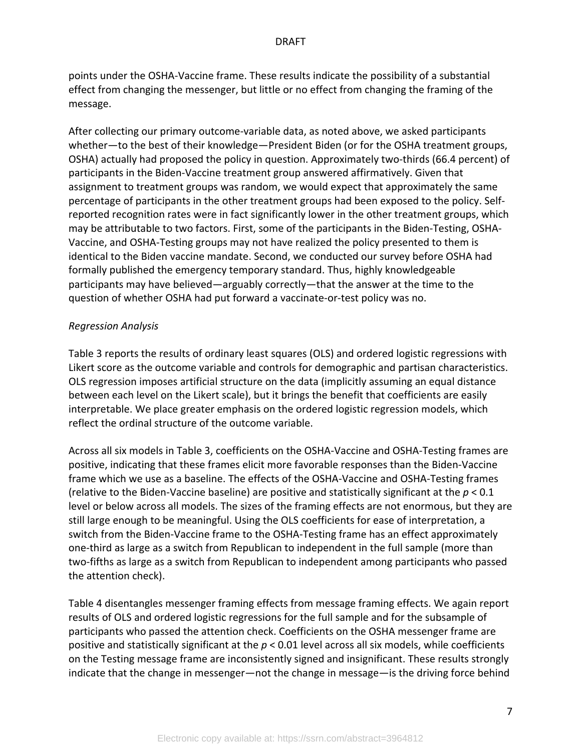points under the OSHA-Vaccine frame. These results indicate the possibility of a substantial effect from changing the messenger, but little or no effect from changing the framing of the message.

After collecting our primary outcome-variable data, as noted above, we asked participants whether—to the best of their knowledge—President Biden (or for the OSHA treatment groups, OSHA) actually had proposed the policy in question. Approximately two-thirds (66.4 percent) of participants in the Biden-Vaccine treatment group answered affirmatively. Given that assignment to treatment groups was random, we would expect that approximately the same percentage of participants in the other treatment groups had been exposed to the policy. Selfreported recognition rates were in fact significantly lower in the other treatment groups, which may be attributable to two factors. First, some of the participants in the Biden-Testing, OSHA-Vaccine, and OSHA-Testing groups may not have realized the policy presented to them is identical to the Biden vaccine mandate. Second, we conducted our survey before OSHA had formally published the emergency temporary standard. Thus, highly knowledgeable participants may have believed—arguably correctly—that the answer at the time to the question of whether OSHA had put forward a vaccinate-or-test policy was no.

# *Regression Analysis*

Table 3 reports the results of ordinary least squares (OLS) and ordered logistic regressions with Likert score as the outcome variable and controls for demographic and partisan characteristics. OLS regression imposes artificial structure on the data (implicitly assuming an equal distance between each level on the Likert scale), but it brings the benefit that coefficients are easily interpretable. We place greater emphasis on the ordered logistic regression models, which reflect the ordinal structure of the outcome variable.

Across all six models in Table 3, coefficients on the OSHA-Vaccine and OSHA-Testing frames are positive, indicating that these frames elicit more favorable responses than the Biden-Vaccine frame which we use as a baseline. The effects of the OSHA-Vaccine and OSHA-Testing frames (relative to the Biden-Vaccine baseline) are positive and statistically significant at the *p* < 0.1 level or below across all models. The sizes of the framing effects are not enormous, but they are still large enough to be meaningful. Using the OLS coefficients for ease of interpretation, a switch from the Biden-Vaccine frame to the OSHA-Testing frame has an effect approximately one-third as large as a switch from Republican to independent in the full sample (more than two-fifths as large as a switch from Republican to independent among participants who passed the attention check).

Table 4 disentangles messenger framing effects from message framing effects. We again report results of OLS and ordered logistic regressions for the full sample and for the subsample of participants who passed the attention check. Coefficients on the OSHA messenger frame are positive and statistically significant at the *p* < 0.01 level across all six models, while coefficients on the Testing message frame are inconsistently signed and insignificant. These results strongly indicate that the change in messenger—not the change in message—is the driving force behind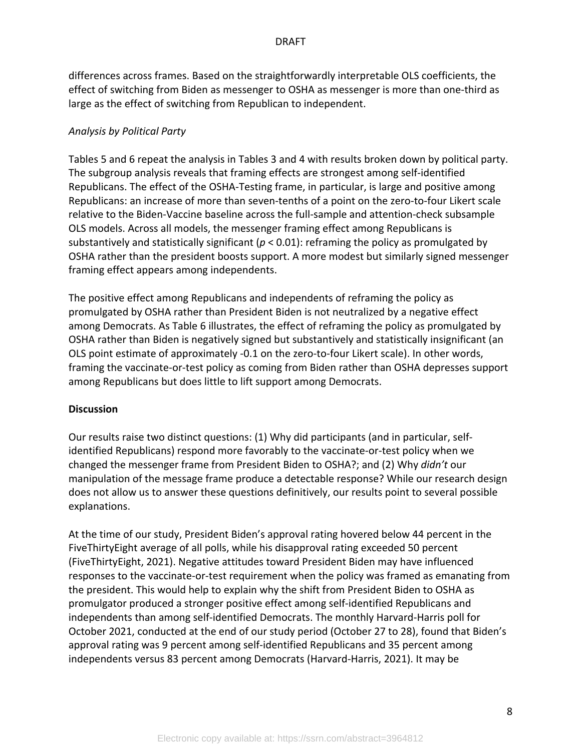differences across frames. Based on the straightforwardly interpretable OLS coefficients, the effect of switching from Biden as messenger to OSHA as messenger is more than one-third as large as the effect of switching from Republican to independent.

# *Analysis by Political Party*

Tables 5 and 6 repeat the analysis in Tables 3 and 4 with results broken down by political party. The subgroup analysis reveals that framing effects are strongest among self-identified Republicans. The effect of the OSHA-Testing frame, in particular, is large and positive among Republicans: an increase of more than seven-tenths of a point on the zero-to-four Likert scale relative to the Biden-Vaccine baseline across the full-sample and attention-check subsample OLS models. Across all models, the messenger framing effect among Republicans is substantively and statistically significant (*p* < 0.01): reframing the policy as promulgated by OSHA rather than the president boosts support. A more modest but similarly signed messenger framing effect appears among independents.

The positive effect among Republicans and independents of reframing the policy as promulgated by OSHA rather than President Biden is not neutralized by a negative effect among Democrats. As Table 6 illustrates, the effect of reframing the policy as promulgated by OSHA rather than Biden is negatively signed but substantively and statistically insignificant (an OLS point estimate of approximately -0.1 on the zero-to-four Likert scale). In other words, framing the vaccinate-or-test policy as coming from Biden rather than OSHA depresses support among Republicans but does little to lift support among Democrats.

#### **Discussion**

Our results raise two distinct questions: (1) Why did participants (and in particular, selfidentified Republicans) respond more favorably to the vaccinate-or-test policy when we changed the messenger frame from President Biden to OSHA?; and (2) Why *didn't* our manipulation of the message frame produce a detectable response? While our research design does not allow us to answer these questions definitively, our results point to several possible explanations.

At the time of our study, President Biden's approval rating hovered below 44 percent in the FiveThirtyEight average of all polls, while his disapproval rating exceeded 50 percent (FiveThirtyEight, 2021). Negative attitudes toward President Biden may have influenced responses to the vaccinate-or-test requirement when the policy was framed as emanating from the president. This would help to explain why the shift from President Biden to OSHA as promulgator produced a stronger positive effect among self-identified Republicans and independents than among self-identified Democrats. The monthly Harvard-Harris poll for October 2021, conducted at the end of our study period (October 27 to 28), found that Biden's approval rating was 9 percent among self-identified Republicans and 35 percent among independents versus 83 percent among Democrats (Harvard-Harris, 2021). It may be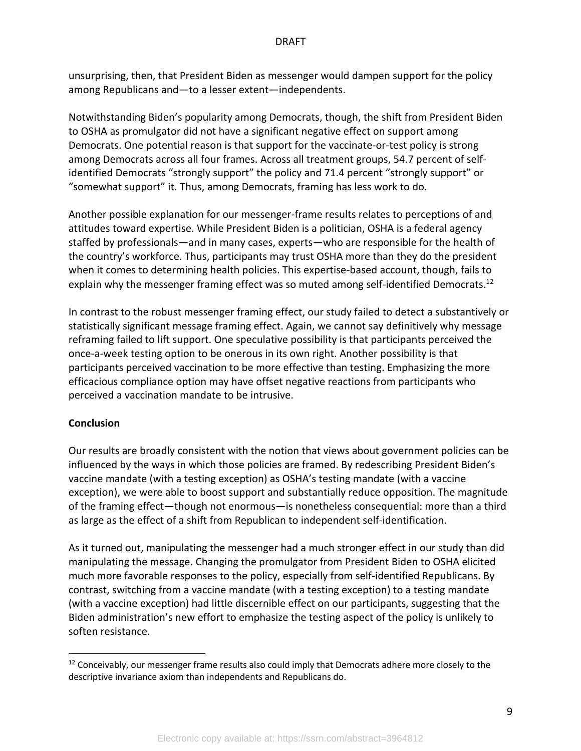unsurprising, then, that President Biden as messenger would dampen support for the policy among Republicans and—to a lesser extent—independents.

Notwithstanding Biden's popularity among Democrats, though, the shift from President Biden to OSHA as promulgator did not have a significant negative effect on support among Democrats. One potential reason is that support for the vaccinate-or-test policy is strong among Democrats across all four frames. Across all treatment groups, 54.7 percent of selfidentified Democrats "strongly support" the policy and 71.4 percent "strongly support" or "somewhat support" it. Thus, among Democrats, framing has less work to do.

Another possible explanation for our messenger-frame results relates to perceptions of and attitudes toward expertise. While President Biden is a politician, OSHA is a federal agency staffed by professionals—and in many cases, experts—who are responsible for the health of the country's workforce. Thus, participants may trust OSHA more than they do the president when it comes to determining health policies. This expertise-based account, though, fails to explain why the messenger framing effect was so muted among self-identified Democrats.<sup>12</sup>

In contrast to the robust messenger framing effect, our study failed to detect a substantively or statistically significant message framing effect. Again, we cannot say definitively why message reframing failed to lift support. One speculative possibility is that participants perceived the once-a-week testing option to be onerous in its own right. Another possibility is that participants perceived vaccination to be more effective than testing. Emphasizing the more efficacious compliance option may have offset negative reactions from participants who perceived a vaccination mandate to be intrusive.

#### **Conclusion**

Our results are broadly consistent with the notion that views about government policies can be influenced by the ways in which those policies are framed. By redescribing President Biden's vaccine mandate (with a testing exception) as OSHA's testing mandate (with a vaccine exception), we were able to boost support and substantially reduce opposition. The magnitude of the framing effect—though not enormous—is nonetheless consequential: more than a third as large as the effect of a shift from Republican to independent self-identification.

As it turned out, manipulating the messenger had a much stronger effect in our study than did manipulating the message. Changing the promulgator from President Biden to OSHA elicited much more favorable responses to the policy, especially from self-identified Republicans. By contrast, switching from a vaccine mandate (with a testing exception) to a testing mandate (with a vaccine exception) had little discernible effect on our participants, suggesting that the Biden administration's new effort to emphasize the testing aspect of the policy is unlikely to soften resistance.

<sup>&</sup>lt;sup>12</sup> Conceivably, our messenger frame results also could imply that Democrats adhere more closely to the descriptive invariance axiom than independents and Republicans do.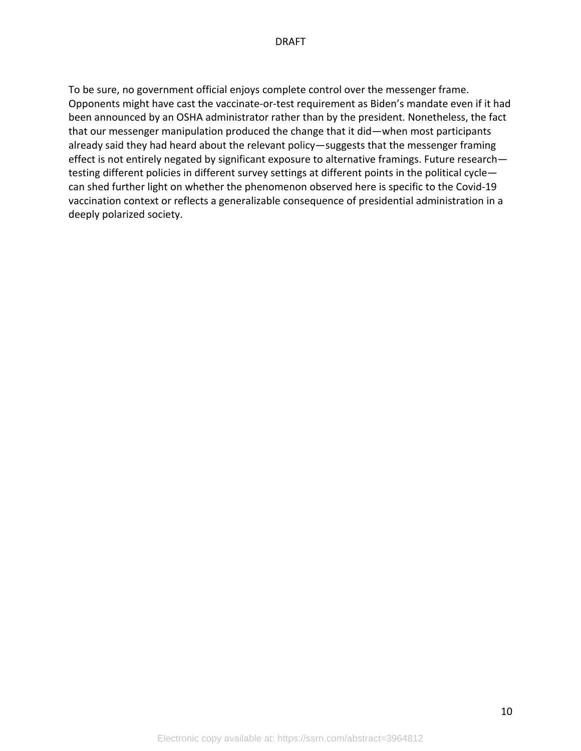To be sure, no government official enjoys complete control over the messenger frame. Opponents might have cast the vaccinate-or-test requirement as Biden's mandate even if it had been announced by an OSHA administrator rather than by the president. Nonetheless, the fact that our messenger manipulation produced the change that it did—when most participants already said they had heard about the relevant policy—suggests that the messenger framing effect is not entirely negated by significant exposure to alternative framings. Future research testing different policies in different survey settings at different points in the political cycle can shed further light on whether the phenomenon observed here is specific to the Covid-19 vaccination context or reflects a generalizable consequence of presidential administration in a deeply polarized society.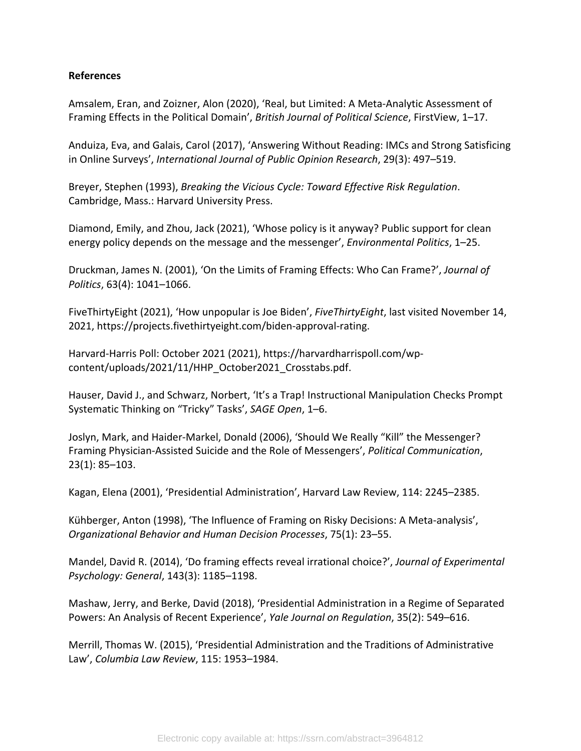# **References**

Amsalem, Eran, and Zoizner, Alon (2020), 'Real, but Limited: A Meta-Analytic Assessment of Framing Effects in the Political Domain', *British Journal of Political Science*, FirstView, 1–17.

Anduiza, Eva, and Galais, Carol (2017), 'Answering Without Reading: IMCs and Strong Satisficing in Online Surveys', *International Journal of Public Opinion Research*, 29(3): 497–519.

Breyer, Stephen (1993), *Breaking the Vicious Cycle: Toward Effective Risk Regulation*. Cambridge, Mass.: Harvard University Press.

Diamond, Emily, and Zhou, Jack (2021), 'Whose policy is it anyway? Public support for clean energy policy depends on the message and the messenger', *Environmental Politics*, 1–25.

Druckman, James N. (2001), 'On the Limits of Framing Effects: Who Can Frame?', *Journal of Politics*, 63(4): 1041–1066.

FiveThirtyEight (2021), 'How unpopular is Joe Biden', *FiveThirtyEight*, last visited November 14, 2021, https://projects.fivethirtyeight.com/biden-approval-rating.

Harvard-Harris Poll: October 2021 (2021), https://harvardharrispoll.com/wpcontent/uploads/2021/11/HHP\_October2021\_Crosstabs.pdf.

Hauser, David J., and Schwarz, Norbert, 'It's a Trap! Instructional Manipulation Checks Prompt Systematic Thinking on "Tricky" Tasks', *SAGE Open*, 1–6.

Joslyn, Mark, and Haider-Markel, Donald (2006), 'Should We Really "Kill" the Messenger? Framing Physician-Assisted Suicide and the Role of Messengers', *Political Communication*, 23(1): 85–103.

Kagan, Elena (2001), 'Presidential Administration', Harvard Law Review, 114: 2245–2385.

Kühberger, Anton (1998), 'The Influence of Framing on Risky Decisions: A Meta-analysis', *Organizational Behavior and Human Decision Processes*, 75(1): 23–55.

Mandel, David R. (2014), 'Do framing effects reveal irrational choice?', *Journal of Experimental Psychology: General*, 143(3): 1185–1198.

Mashaw, Jerry, and Berke, David (2018), 'Presidential Administration in a Regime of Separated Powers: An Analysis of Recent Experience', *Yale Journal on Regulation*, 35(2): 549–616.

Merrill, Thomas W. (2015), 'Presidential Administration and the Traditions of Administrative Law', *Columbia Law Review*, 115: 1953–1984.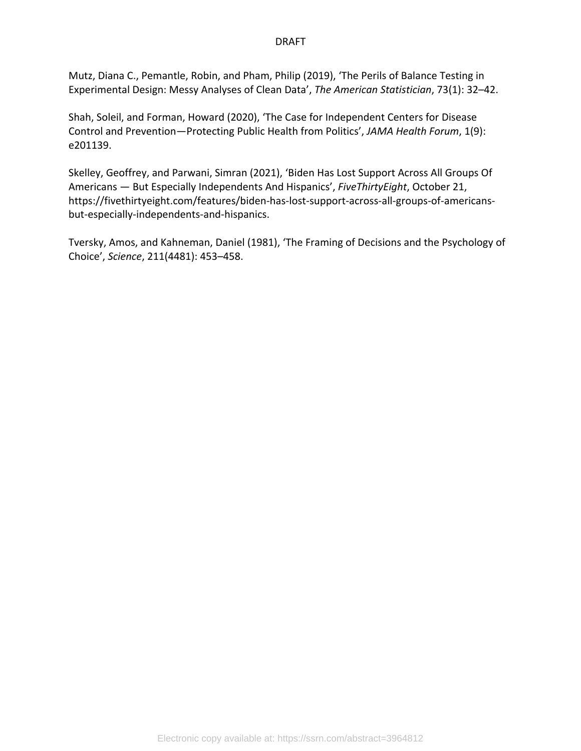Mutz, Diana C., Pemantle, Robin, and Pham, Philip (2019), 'The Perils of Balance Testing in Experimental Design: Messy Analyses of Clean Data', *The American Statistician*, 73(1): 32–42.

Shah, Soleil, and Forman, Howard (2020), 'The Case for Independent Centers for Disease Control and Prevention—Protecting Public Health from Politics', *JAMA Health Forum*, 1(9): e201139.

Skelley, Geoffrey, and Parwani, Simran (2021), 'Biden Has Lost Support Across All Groups Of Americans — But Especially Independents And Hispanics', *FiveThirtyEight*, October 21, https://fivethirtyeight.com/features/biden-has-lost-support-across-all-groups-of-americansbut-especially-independents-and-hispanics.

Tversky, Amos, and Kahneman, Daniel (1981), 'The Framing of Decisions and the Psychology of Choice', *Science*, 211(4481): 453–458.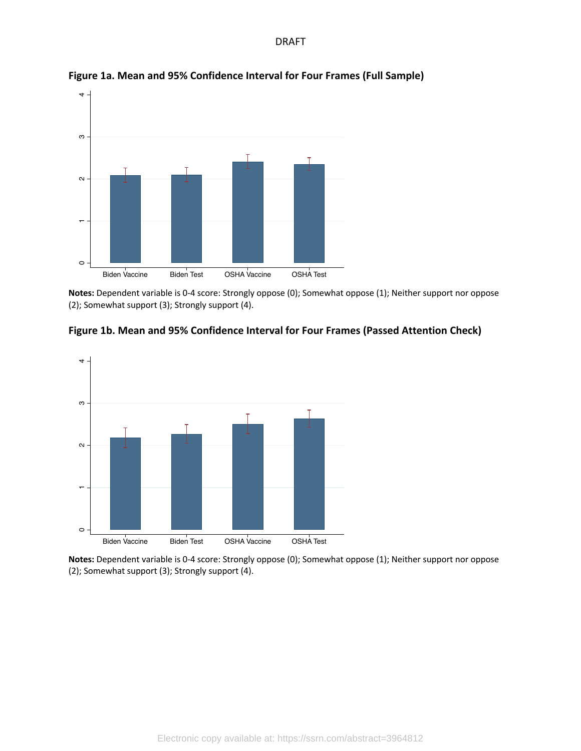

**Figure 1a. Mean and 95% Confidence Interval for Four Frames (Full Sample)**

**Notes:** Dependent variable is 0-4 score: Strongly oppose (0); Somewhat oppose (1); Neither support nor oppose (2); Somewhat support (3); Strongly support (4).





**Notes:** Dependent variable is 0-4 score: Strongly oppose (0); Somewhat oppose (1); Neither support nor oppose (2); Somewhat support (3); Strongly support (4).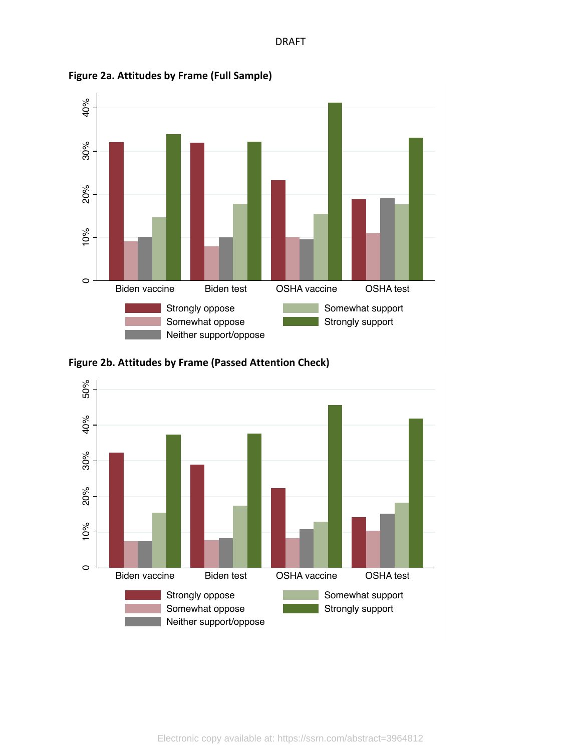

**Figure 2a. Attitudes by Frame (Full Sample)**



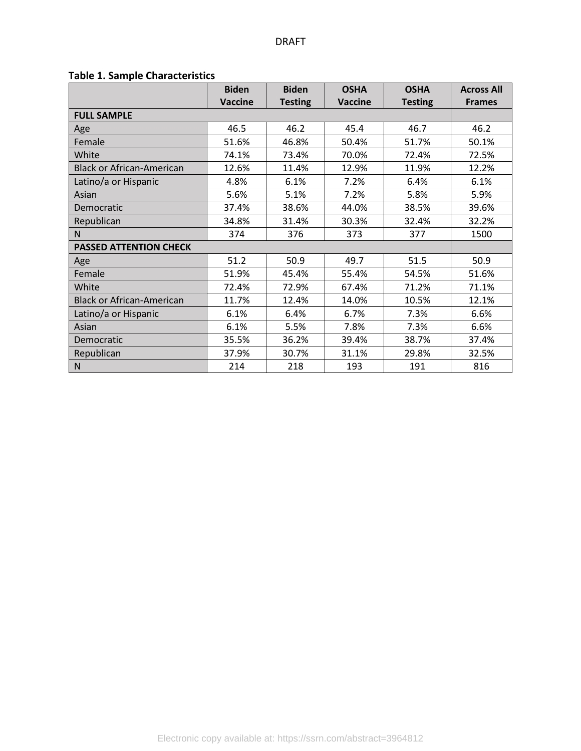# **Table 1. Sample Characteristics**

|                                  | <b>Biden</b><br><b>Biden</b> |                | <b>OSHA</b>    | <b>OSHA</b>    | <b>Across All</b> |  |
|----------------------------------|------------------------------|----------------|----------------|----------------|-------------------|--|
|                                  | <b>Vaccine</b>               | <b>Testing</b> | <b>Vaccine</b> | <b>Testing</b> | <b>Frames</b>     |  |
| <b>FULL SAMPLE</b>               |                              |                |                |                |                   |  |
| Age                              | 46.5                         | 46.2           | 45.4           | 46.7           | 46.2              |  |
| Female                           | 51.6%                        | 46.8%          | 50.4%          | 51.7%          | 50.1%             |  |
| White                            | 74.1%                        | 73.4%          | 70.0%          | 72.4%          | 72.5%             |  |
| <b>Black or African-American</b> | 12.6%                        | 11.4%          | 12.9%          | 11.9%          | 12.2%             |  |
| Latino/a or Hispanic             | 4.8%                         | 6.1%           | 7.2%           | 6.4%           | 6.1%              |  |
| Asian                            | 5.6%                         | 5.1%           | 7.2%           | 5.8%           | 5.9%              |  |
| Democratic                       | 37.4%<br>38.6%<br>44.0%      |                | 38.5%          | 39.6%          |                   |  |
| Republican                       | 34.8%<br>30.3%<br>31.4%      |                | 32.4%          | 32.2%          |                   |  |
| N                                | 374                          | 376<br>373     |                | 377            | 1500              |  |
| <b>PASSED ATTENTION CHECK</b>    |                              |                |                |                |                   |  |
| Age                              | 51.2                         | 50.9           | 49.7           | 51.5           | 50.9              |  |
| Female                           | 51.9%                        | 45.4%          | 55.4%          | 54.5%          | 51.6%             |  |
| White                            | 72.4%                        | 72.9%          | 67.4%          | 71.2%          | 71.1%             |  |
| <b>Black or African-American</b> | 11.7%                        | 12.4%          | 14.0%          | 10.5%          | 12.1%             |  |
| Latino/a or Hispanic             | 6.1%                         | 6.4%           | 6.7%           | 7.3%           | 6.6%              |  |
| Asian                            | 6.1%                         | 5.5%           | 7.8%           | 7.3%           | 6.6%              |  |
| Democratic                       | 35.5%                        | 36.2%          | 39.4%          | 38.7%          | 37.4%             |  |
| Republican                       | 37.9%                        | 30.7%          | 31.1%          | 29.8%          | 32.5%             |  |
| N                                | 214                          | 218            | 193            | 191            | 816               |  |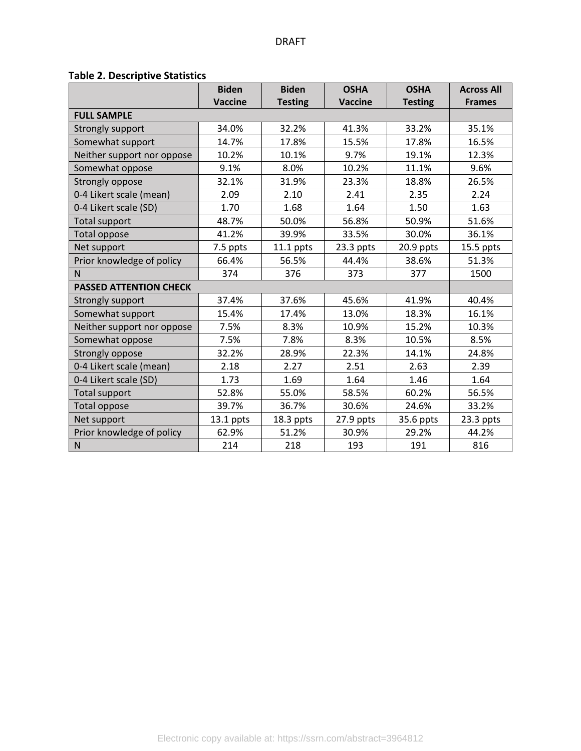# **Table 2. Descriptive Statistics**

|                               | <b>Biden</b>   | <b>Biden</b>   | <b>OSHA</b>    |                | <b>Across All</b> |  |
|-------------------------------|----------------|----------------|----------------|----------------|-------------------|--|
|                               | <b>Vaccine</b> | <b>Testing</b> | <b>Vaccine</b> | <b>Testing</b> | <b>Frames</b>     |  |
| <b>FULL SAMPLE</b>            |                |                |                |                |                   |  |
| Strongly support              | 34.0%          | 32.2%          | 41.3%          | 33.2%          | 35.1%             |  |
| Somewhat support              | 14.7%          | 17.8%          | 15.5%          | 17.8%          | 16.5%             |  |
| Neither support nor oppose    | 10.2%          | 10.1%          | 9.7%           | 19.1%          | 12.3%             |  |
| Somewhat oppose               | 9.1%           | 8.0%           | 10.2%          | 11.1%          | 9.6%              |  |
| Strongly oppose               | 32.1%          | 31.9%          | 23.3%          | 18.8%          | 26.5%             |  |
| 0-4 Likert scale (mean)       | 2.09           | 2.10           | 2.41           | 2.35           | 2.24              |  |
| 0-4 Likert scale (SD)         | 1.70           | 1.68           | 1.64           | 1.50           | 1.63              |  |
| <b>Total support</b>          | 48.7%          | 50.0%          | 56.8%          | 50.9%          | 51.6%             |  |
| <b>Total oppose</b>           | 41.2%          | 39.9%          | 33.5%          | 30.0%          | 36.1%             |  |
| Net support                   | 7.5 ppts       | $11.1$ ppts    | 23.3 ppts      | 20.9 ppts      | $15.5$ ppts       |  |
| Prior knowledge of policy     | 66.4%          | 56.5%          | 44.4%          | 38.6%          | 51.3%             |  |
| N.                            | 374            | 376            | 373            | 377            | 1500              |  |
| <b>PASSED ATTENTION CHECK</b> |                |                |                |                |                   |  |
| Strongly support              | 37.4%          | 37.6%          | 45.6%          | 41.9%          | 40.4%             |  |
| Somewhat support              | 15.4%          | 17.4%          | 13.0%          | 18.3%          | 16.1%             |  |
| Neither support nor oppose    | 7.5%           | 8.3%           | 10.9%          | 15.2%          | 10.3%             |  |
| Somewhat oppose               | 7.5%           | 7.8%           | 8.3%           | 10.5%          | 8.5%              |  |
| Strongly oppose               | 32.2%          | 28.9%          | 22.3%          | 14.1%          | 24.8%             |  |
| 0-4 Likert scale (mean)       | 2.18           | 2.27           | 2.51           | 2.63           | 2.39              |  |
| 0-4 Likert scale (SD)         | 1.73           | 1.69           | 1.64           | 1.46           | 1.64              |  |
| Total support                 | 52.8%          | 55.0%          | 58.5%          | 60.2%          | 56.5%             |  |
| Total oppose                  | 39.7%          | 36.7%          | 30.6%          | 24.6%          | 33.2%             |  |
| Net support                   | $13.1$ ppts    | 18.3 ppts      | 27.9 ppts      | 35.6 ppts      | $23.3$ ppts       |  |
| Prior knowledge of policy     | 62.9%          | 51.2%          | 30.9%          | 29.2%          | 44.2%             |  |
| ${\sf N}$                     | 214            | 218            | 193            | 191            | 816               |  |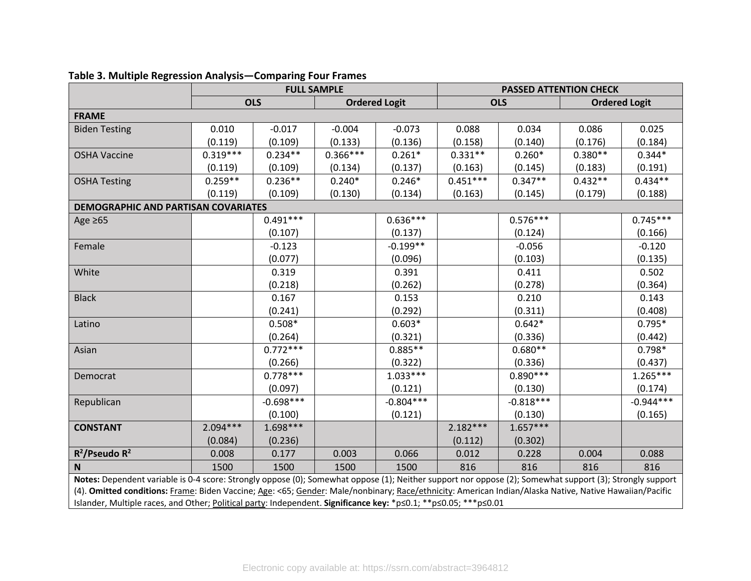|                                                                                                                                                                                                                                                                             |            | <b>FULL SAMPLE</b> |            |                      | <b>PASSED ATTENTION CHECK</b> |             |           |                      |  |  |  |
|-----------------------------------------------------------------------------------------------------------------------------------------------------------------------------------------------------------------------------------------------------------------------------|------------|--------------------|------------|----------------------|-------------------------------|-------------|-----------|----------------------|--|--|--|
|                                                                                                                                                                                                                                                                             |            | <b>OLS</b>         |            | <b>Ordered Logit</b> |                               | <b>OLS</b>  |           | <b>Ordered Logit</b> |  |  |  |
| <b>FRAME</b>                                                                                                                                                                                                                                                                |            |                    |            |                      |                               |             |           |                      |  |  |  |
| <b>Biden Testing</b>                                                                                                                                                                                                                                                        | 0.010      | $-0.017$           | $-0.004$   | $-0.073$             | 0.088                         | 0.034       | 0.086     | 0.025                |  |  |  |
|                                                                                                                                                                                                                                                                             | (0.119)    | (0.109)            | (0.133)    | (0.136)              | (0.158)                       | (0.140)     | (0.176)   | (0.184)              |  |  |  |
| <b>OSHA Vaccine</b>                                                                                                                                                                                                                                                         | $0.319***$ | $0.234**$          | $0.366***$ | $0.261*$             | $0.331**$                     | $0.260*$    | $0.380**$ | $0.344*$             |  |  |  |
|                                                                                                                                                                                                                                                                             | (0.119)    | (0.109)            | (0.134)    | (0.137)              | (0.163)                       | (0.145)     | (0.183)   | (0.191)              |  |  |  |
| <b>OSHA Testing</b>                                                                                                                                                                                                                                                         | $0.259**$  | $0.236**$          | $0.240*$   | $0.246*$             | $0.451***$                    | $0.347**$   | $0.432**$ | $0.434**$            |  |  |  |
|                                                                                                                                                                                                                                                                             | (0.119)    | (0.109)            | (0.130)    | (0.134)              | (0.163)                       | (0.145)     | (0.179)   | (0.188)              |  |  |  |
| <b>DEMOGRAPHIC AND PARTISAN COVARIATES</b>                                                                                                                                                                                                                                  |            |                    |            |                      |                               |             |           |                      |  |  |  |
| Age $\geq 65$                                                                                                                                                                                                                                                               |            | $0.491***$         |            | $0.636***$           |                               | $0.576***$  |           | $0.745***$           |  |  |  |
|                                                                                                                                                                                                                                                                             |            | (0.107)            |            | (0.137)              |                               | (0.124)     |           | (0.166)              |  |  |  |
| Female                                                                                                                                                                                                                                                                      |            | $-0.123$           |            | $-0.199**$           |                               | $-0.056$    |           | $-0.120$             |  |  |  |
|                                                                                                                                                                                                                                                                             |            | (0.077)            |            | (0.096)              |                               | (0.103)     |           | (0.135)              |  |  |  |
| White                                                                                                                                                                                                                                                                       |            | 0.319              |            | 0.391                |                               | 0.411       |           | 0.502                |  |  |  |
|                                                                                                                                                                                                                                                                             |            | (0.218)            |            | (0.262)              |                               | (0.278)     |           | (0.364)              |  |  |  |
| <b>Black</b>                                                                                                                                                                                                                                                                |            | 0.167              |            | 0.153                |                               | 0.210       |           | 0.143                |  |  |  |
|                                                                                                                                                                                                                                                                             |            | (0.241)            |            | (0.292)              |                               | (0.311)     |           | (0.408)              |  |  |  |
| Latino                                                                                                                                                                                                                                                                      |            | $0.508*$           |            | $0.603*$             |                               | $0.642*$    |           | $0.795*$             |  |  |  |
|                                                                                                                                                                                                                                                                             |            | (0.264)            |            | (0.321)              |                               | (0.336)     |           | (0.442)              |  |  |  |
| Asian                                                                                                                                                                                                                                                                       |            | $0.772***$         |            | $0.885**$            |                               | $0.680**$   |           | $0.798*$             |  |  |  |
|                                                                                                                                                                                                                                                                             |            | (0.266)            |            | (0.322)              |                               | (0.336)     |           | (0.437)              |  |  |  |
| Democrat                                                                                                                                                                                                                                                                    |            | $0.778***$         |            | $1.033***$           |                               | $0.890***$  |           | $1.265***$           |  |  |  |
|                                                                                                                                                                                                                                                                             |            | (0.097)            |            | (0.121)              |                               | (0.130)     |           | (0.174)              |  |  |  |
| Republican                                                                                                                                                                                                                                                                  |            | $-0.698***$        |            | $-0.804***$          |                               | $-0.818***$ |           | $-0.944***$          |  |  |  |
|                                                                                                                                                                                                                                                                             |            | (0.100)            |            | (0.121)              |                               | (0.130)     |           | (0.165)              |  |  |  |
| <b>CONSTANT</b>                                                                                                                                                                                                                                                             | $2.094***$ | $1.698***$         |            |                      | $2.182***$                    | $1.657***$  |           |                      |  |  |  |
|                                                                                                                                                                                                                                                                             | (0.084)    | (0.236)            |            |                      | (0.112)                       | (0.302)     |           |                      |  |  |  |
| $R^2$ /Pseudo $R^2$                                                                                                                                                                                                                                                         | 0.008      | 0.177              | 0.003      | 0.066                | 0.012                         | 0.228       | 0.004     | 0.088                |  |  |  |
| $\mathbf N$                                                                                                                                                                                                                                                                 | 1500       | 1500               | 1500       | 1500                 | 816                           | 816         | 816       | 816                  |  |  |  |
| Notes: Dependent variable is 0-4 score: Strongly oppose (0); Somewhat oppose (1); Neither support nor oppose (2); Somewhat support (3); Strongly support                                                                                                                    |            |                    |            |                      |                               |             |           |                      |  |  |  |
|                                                                                                                                                                                                                                                                             |            |                    |            |                      |                               |             |           |                      |  |  |  |
| (4). Omitted conditions: Frame: Biden Vaccine; Age: <65; Gender: Male/nonbinary; Race/ethnicity: American Indian/Alaska Native, Native Hawaiian/Pacific<br>Islander, Multiple races, and Other; Political party: Independent. Significance key: *p≤0.1; **p≤0.05; ***p≤0.01 |            |                    |            |                      |                               |             |           |                      |  |  |  |

# **Table 3. Multiple Regression Analysis—Comparing Four Frames**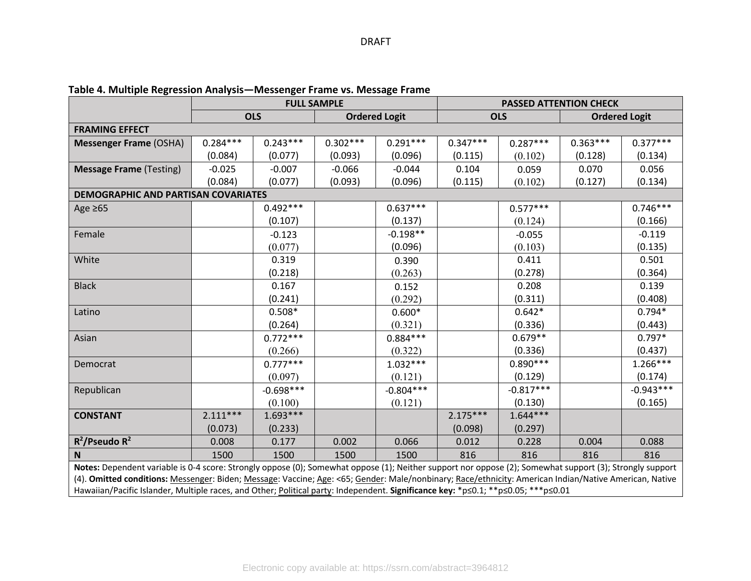|                                                                                                                                                                                                                                                                                             |            | <b>FULL SAMPLE</b> |            |                      | <b>PASSED ATTENTION CHECK</b> |             |            |                      |  |  |
|---------------------------------------------------------------------------------------------------------------------------------------------------------------------------------------------------------------------------------------------------------------------------------------------|------------|--------------------|------------|----------------------|-------------------------------|-------------|------------|----------------------|--|--|
|                                                                                                                                                                                                                                                                                             |            | <b>OLS</b>         |            | <b>Ordered Logit</b> |                               | <b>OLS</b>  |            | <b>Ordered Logit</b> |  |  |
| <b>FRAMING EFFECT</b>                                                                                                                                                                                                                                                                       |            |                    |            |                      |                               |             |            |                      |  |  |
| <b>Messenger Frame (OSHA)</b>                                                                                                                                                                                                                                                               | $0.284***$ | $0.243***$         | $0.302***$ | $0.291***$           | $0.347***$                    | $0.287***$  | $0.363***$ | $0.377***$           |  |  |
|                                                                                                                                                                                                                                                                                             | (0.084)    | (0.077)            | (0.093)    | (0.096)              | (0.115)                       | (0.102)     | (0.128)    | (0.134)              |  |  |
| <b>Message Frame (Testing)</b>                                                                                                                                                                                                                                                              | $-0.025$   | $-0.007$           | $-0.066$   | $-0.044$             | 0.104                         | 0.059       | 0.070      | 0.056                |  |  |
|                                                                                                                                                                                                                                                                                             | (0.084)    | (0.077)            | (0.093)    | (0.096)              | (0.115)                       | (0.102)     | (0.127)    | (0.134)              |  |  |
| DEMOGRAPHIC AND PARTISAN COVARIATES                                                                                                                                                                                                                                                         |            |                    |            |                      |                               |             |            |                      |  |  |
| Age $\geq 65$                                                                                                                                                                                                                                                                               |            | $0.492***$         |            | $0.637***$           |                               | $0.577***$  |            | $0.746***$           |  |  |
|                                                                                                                                                                                                                                                                                             |            | (0.107)            |            | (0.137)              |                               | (0.124)     |            | (0.166)              |  |  |
| Female                                                                                                                                                                                                                                                                                      |            | $-0.123$           |            | $-0.198**$           |                               | $-0.055$    |            | $-0.119$             |  |  |
|                                                                                                                                                                                                                                                                                             |            | (0.077)            |            | (0.096)              |                               | (0.103)     |            | (0.135)              |  |  |
| White                                                                                                                                                                                                                                                                                       |            | 0.319              |            | 0.390                |                               | 0.411       |            | 0.501                |  |  |
|                                                                                                                                                                                                                                                                                             |            | (0.218)            |            | (0.263)              |                               | (0.278)     |            | (0.364)              |  |  |
| <b>Black</b>                                                                                                                                                                                                                                                                                |            | 0.167              |            | 0.152                |                               | 0.208       |            | 0.139                |  |  |
|                                                                                                                                                                                                                                                                                             |            | (0.241)            |            | (0.292)              |                               | (0.311)     |            | (0.408)              |  |  |
| Latino                                                                                                                                                                                                                                                                                      |            | $0.508*$           |            | $0.600*$             |                               | $0.642*$    |            | $0.794*$             |  |  |
|                                                                                                                                                                                                                                                                                             |            | (0.264)            |            | (0.321)              |                               | (0.336)     |            | (0.443)              |  |  |
| Asian                                                                                                                                                                                                                                                                                       |            | $0.772***$         |            | $0.884***$           |                               | $0.679**$   |            | $0.797*$             |  |  |
|                                                                                                                                                                                                                                                                                             |            | (0.266)            |            | (0.322)              |                               | (0.336)     |            | (0.437)              |  |  |
| Democrat                                                                                                                                                                                                                                                                                    |            | $0.777***$         |            | $1.032***$           |                               | $0.890***$  |            | $1.266***$           |  |  |
|                                                                                                                                                                                                                                                                                             |            | (0.097)            |            | (0.121)              |                               | (0.129)     |            | (0.174)              |  |  |
| Republican                                                                                                                                                                                                                                                                                  |            | $-0.698***$        |            | $-0.804***$          |                               | $-0.817***$ |            | $-0.943***$          |  |  |
|                                                                                                                                                                                                                                                                                             |            | (0.100)            |            | (0.121)              |                               | (0.130)     |            | (0.165)              |  |  |
| <b>CONSTANT</b>                                                                                                                                                                                                                                                                             | $2.111***$ | $1.693***$         |            |                      | $2.175***$                    | $1.644***$  |            |                      |  |  |
|                                                                                                                                                                                                                                                                                             | (0.073)    | (0.233)            |            |                      | (0.098)                       | (0.297)     |            |                      |  |  |
| $R^2$ /Pseudo $R^2$                                                                                                                                                                                                                                                                         | 0.008      | 0.177              | 0.002      | 0.066                | 0.012                         | 0.228       | 0.004      | 0.088                |  |  |
| N                                                                                                                                                                                                                                                                                           | 1500       | 1500               | 1500       | 1500                 | 816                           | 816         | 816        | 816                  |  |  |
| Notes: Dependent variable is 0-4 score: Strongly oppose (0); Somewhat oppose (1); Neither support nor oppose (2); Somewhat support (3); Strongly support                                                                                                                                    |            |                    |            |                      |                               |             |            |                      |  |  |
|                                                                                                                                                                                                                                                                                             |            |                    |            |                      |                               |             |            |                      |  |  |
| (4). Omitted conditions: Messenger: Biden; Message: Vaccine; Age: <65; Gender: Male/nonbinary; Race/ethnicity: American Indian/Native American, Native<br>Hawaiian/Pacific Islander, Multiple races, and Other; Political party: Independent. Significance key: *p≤0.1; **p≤0.05; ***p≤0.01 |            |                    |            |                      |                               |             |            |                      |  |  |

**Table 4. Multiple Regression Analysis—Messenger Frame vs. Message Frame**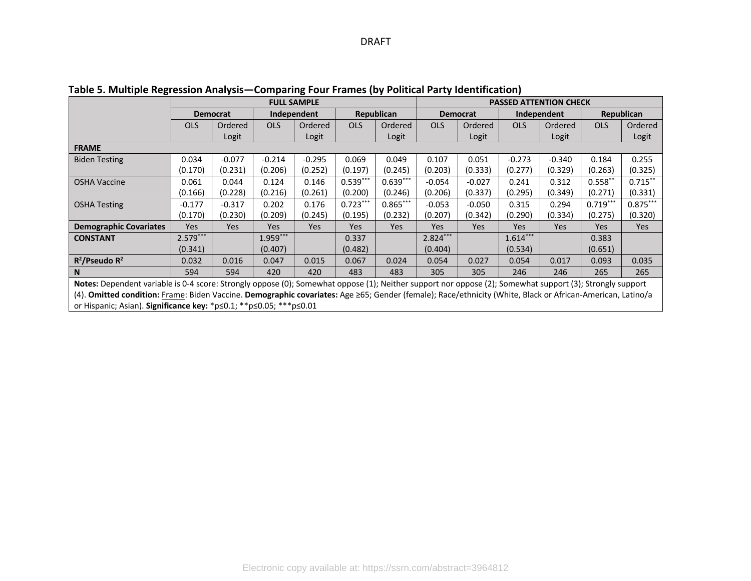|                                                                                                                                                            | <b>FULL SAMPLE</b> |                 |             |            |            |            | <b>PASSED ATTENTION CHECK</b> |                 |            |             |            |            |  |
|------------------------------------------------------------------------------------------------------------------------------------------------------------|--------------------|-----------------|-------------|------------|------------|------------|-------------------------------|-----------------|------------|-------------|------------|------------|--|
|                                                                                                                                                            |                    | <b>Democrat</b> | Independent |            |            | Republican |                               | <b>Democrat</b> |            | Independent |            | Republican |  |
|                                                                                                                                                            | <b>OLS</b>         | Ordered         | <b>OLS</b>  | Ordered    | <b>OLS</b> | Ordered    | <b>OLS</b>                    | Ordered         | <b>OLS</b> | Ordered     | <b>OLS</b> | Ordered    |  |
|                                                                                                                                                            |                    | Logit           |             | Logit      |            | Logit      |                               | Logit           |            | Logit       |            | Logit      |  |
| <b>FRAME</b>                                                                                                                                               |                    |                 |             |            |            |            |                               |                 |            |             |            |            |  |
| <b>Biden Testing</b>                                                                                                                                       | 0.034              | $-0.077$        | $-0.214$    | $-0.295$   | 0.069      | 0.049      | 0.107                         | 0.051           | $-0.273$   | $-0.340$    | 0.184      | 0.255      |  |
|                                                                                                                                                            | (0.170)            | (0.231)         | (0.206)     | (0.252)    | (0.197)    | (0.245)    | (0.203)                       | (0.333)         | (0.277)    | (0.329)     | (0.263)    | (0.325)    |  |
| <b>OSHA Vaccine</b>                                                                                                                                        | 0.061              | 0.044           | 0.124       | 0.146      | $0.539***$ | $0.639***$ | $-0.054$                      | $-0.027$        | 0.241      | 0.312       | $0.558**$  | $0.715***$ |  |
|                                                                                                                                                            | (0.166)            | (0.228)         | (0.216)     | (0.261)    | (0.200)    | (0.246)    | (0.206)                       | (0.337)         | (0.295)    | (0.349)     | (0.271)    | (0.331)    |  |
| <b>OSHA Testing</b>                                                                                                                                        | $-0.177$           | $-0.317$        | 0.202       | 0.176      | $0.723***$ | $0.865***$ | $-0.053$                      | $-0.050$        | 0.315      | 0.294       | $0.719***$ | $0.875***$ |  |
|                                                                                                                                                            | (0.170)            | (0.230)         | (0.209)     | (0.245)    | (0.195)    | (0.232)    | (0.207)                       | (0.342)         | (0.290)    | (0.334)     | (0.275)    | (0.320)    |  |
| <b>Demographic Covariates</b>                                                                                                                              | Yes                | Yes             | Yes         | <b>Yes</b> | Yes        | Yes        | Yes                           | <b>Yes</b>      | <b>Yes</b> | Yes         | Yes        | Yes        |  |
| <b>CONSTANT</b>                                                                                                                                            | $2.579***$         |                 | $1.959***$  |            | 0.337      |            | $2.824***$                    |                 | $1.614***$ |             | 0.383      |            |  |
|                                                                                                                                                            | (0.341)            |                 | (0.407)     |            | (0.482)    |            | (0.404)                       |                 | (0.534)    |             | (0.651)    |            |  |
| $R^2$ /Pseudo R <sup>2</sup>                                                                                                                               | 0.032              | 0.016           | 0.047       | 0.015      | 0.067      | 0.024      | 0.054                         | 0.027           | 0.054      | 0.017       | 0.093      | 0.035      |  |
| <b>N</b>                                                                                                                                                   | 594                | 594             | 420         | 420        | 483        | 483        | 305                           | 305             | 246        | 246         | 265        | 265        |  |
| Notes: Dependent variable is 0-4 score: Strongly oppose (0); Somewhat oppose (1); Neither support nor oppose (2); Somewhat support (3); Strongly support   |                    |                 |             |            |            |            |                               |                 |            |             |            |            |  |
| (4). Omitted condition: Frame: Biden Vaccine. Demographic covariates: Age ≥65; Gender (female); Race/ethnicity (White, Black or African-American, Latino/a |                    |                 |             |            |            |            |                               |                 |            |             |            |            |  |
| or Hispanic; Asian). Significance key: $p \le 0.1$ ; $* p \le 0.05$ ; $** p \le 0.01$                                                                      |                    |                 |             |            |            |            |                               |                 |            |             |            |            |  |

**Table 5. Multiple Regression Analysis—Comparing Four Frames (by Political Party Identification)**